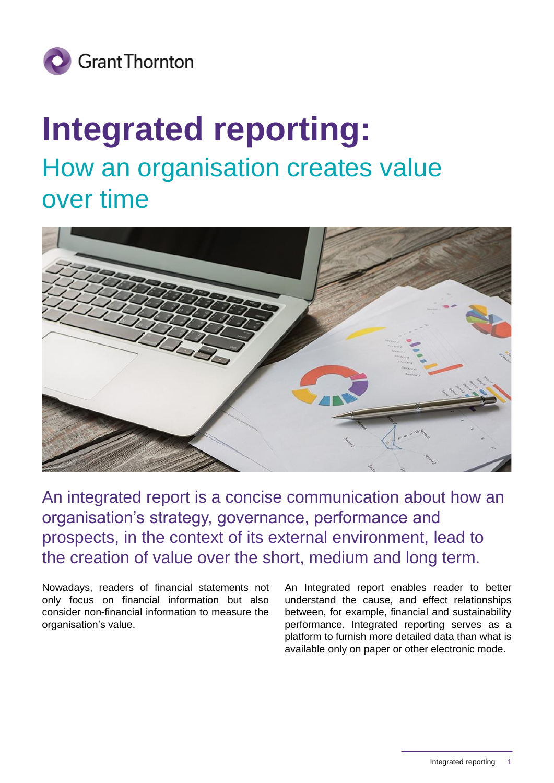

## **Integrated reporting:** How an organisation creates value over time



An integrated report is a concise communication about how an organisation's strategy, governance, performance and prospects, in the context of its external environment, lead to the creation of value over the short, medium and long term.

Nowadays, readers of financial statements not only focus on financial information but also consider non-financial information to measure the organisation's value.

An Integrated report enables reader to better understand the cause, and effect relationships between, for example, financial and sustainability performance. Integrated reporting serves as a platform to furnish more detailed data than what is available only on paper or other electronic mode.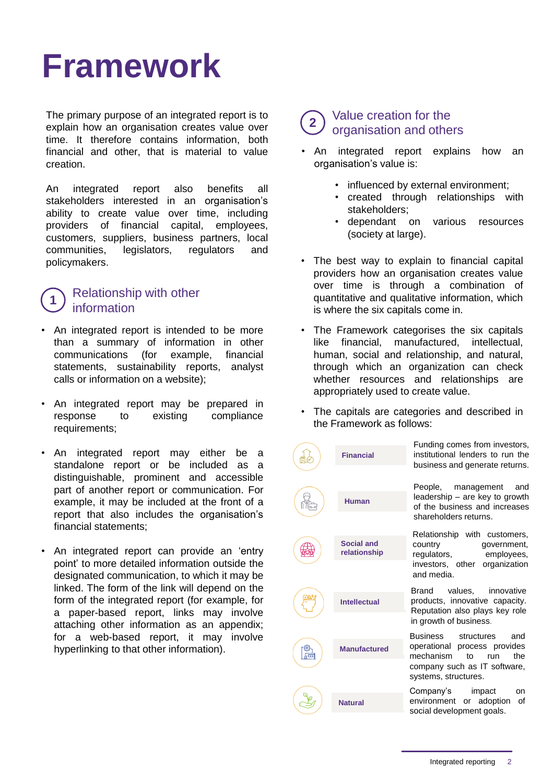## **Framework**

The primary purpose of an integrated report is to explain how an organisation creates value over time. It therefore contains information, both financial and other, that is material to value creation.

An integrated report also benefits all stakeholders interested in an organisation's ability to create value over time, including providers of financial capital, employees, customers, suppliers, business partners, local communities, legislators, regulators and policymakers.

#### **1** Relationship with other information

- An integrated report is intended to be more than a summary of information in other communications (for example, financial statements, sustainability reports, analyst calls or information on a website);
- An integrated report may be prepared in response to existing compliance requirements;
- An integrated report may either be a standalone report or be included as a distinguishable, prominent and accessible part of another report or communication. For example, it may be included at the front of a report that also includes the organisation's financial statements;
- An integrated report can provide an 'entry point' to more detailed information outside the designated communication, to which it may be linked. The form of the link will depend on the form of the integrated report (for example, for a paper-based report, links may involve attaching other information as an appendix; for a web-based report, it may involve hyperlinking to that other information).

#### **2** Value creation for the organisation and others

- An integrated report explains how an organisation's value is:
	- influenced by external environment;
	- created through relationships with stakeholders;
	- dependant on various resources (society at large).
- The best way to explain to financial capital providers how an organisation creates value over time is through a combination of quantitative and qualitative information, which is where the six capitals come in.
- The Framework categorises the six capitals like financial, manufactured, intellectual, human, social and relationship, and natural, through which an organization can check whether resources and relationships are appropriately used to create value.
- The capitals are categories and described in the Framework as follows:

Funding comes from investors,

|   | <b>Financial</b>           | Funding comes from investors,<br>institutional lenders to run the<br>business and generate returns.                                                    |
|---|----------------------------|--------------------------------------------------------------------------------------------------------------------------------------------------------|
|   | Human                      | People, management<br>and<br>leadership - are key to growth<br>of the business and increases<br>shareholders returns.                                  |
|   | Social and<br>relationship | Relationship with customers,<br>country<br>government,<br>employees,<br>regulators,<br>investors, other<br>organization<br>and media.                  |
|   | <b>Intellectual</b>        | values, innovative<br>Brand<br>products, innovative capacity.<br>Reputation also plays key role<br>in growth of business.                              |
| ᅂ | <b>Manufactured</b>        | Business<br>structures<br>and<br>operational process provides<br>mechanism<br>the<br>to<br>run<br>company such as IT software,<br>systems, structures. |
|   | <b>Natural</b>             | Company's<br>impact<br><sub>on</sub><br>environment or adoption<br>οf<br>social development goals.                                                     |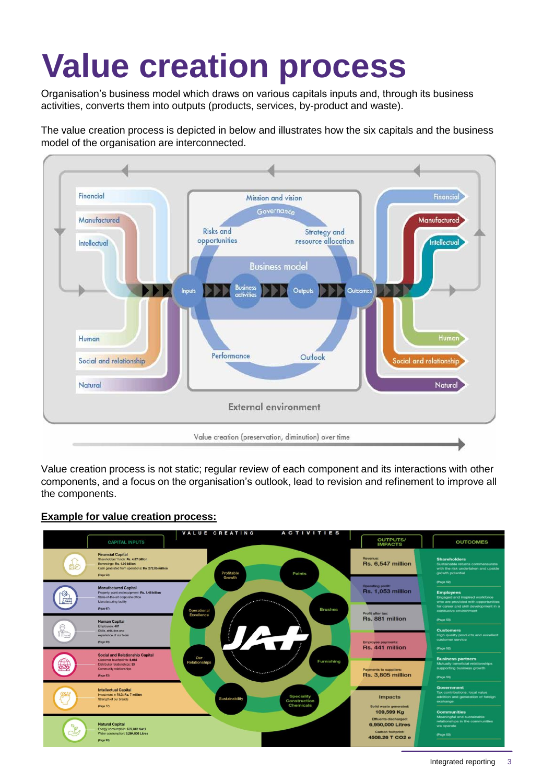# **Value creation process**

Organisation's business model which draws on various capitals inputs and, through its business activities, converts them into outputs (products, services, by-product and waste).

The value creation process is depicted in below and illustrates how the six capitals and the business model of the organisation are interconnected.



Value creation process is not static; regular review of each component and its interactions with other components, and a focus on the organisation's outlook, lead to revision and refinement to improve all the components.

#### **Example for value creation process:**

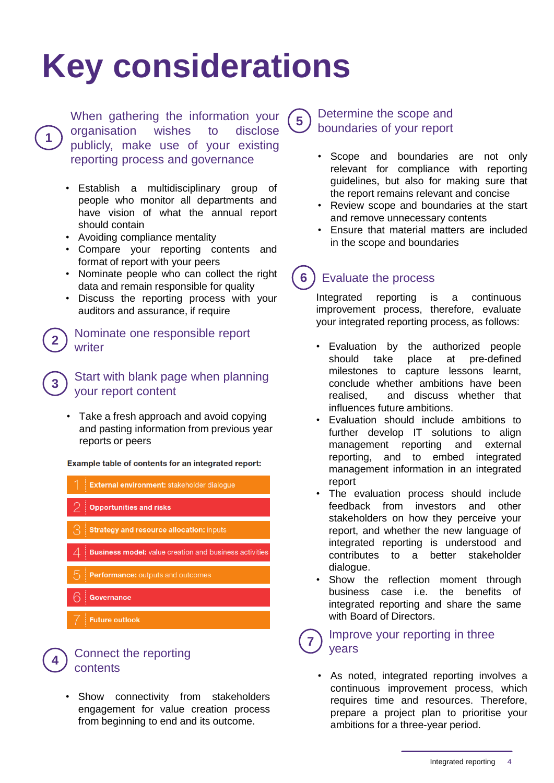## **Key considerations**

When gathering the information your organisation wishes to disclose publicly, make use of your existing reporting process and governance

- Establish a multidisciplinary group of people who monitor all departments and have vision of what the annual report should contain
- Avoiding compliance mentality

**1**

**2**

**3**

**4**

- Compare your reporting contents and format of report with your peers
- Nominate people who can collect the right data and remain responsible for quality
- Discuss the reporting process with your auditors and assurance, if require

#### Nominate one responsible report writer

#### Start with blank page when planning your report content

• Take a fresh approach and avoid copying and pasting information from previous year reports or peers

Example table of contents for an integrated report:

- External environment: stakeholder dialoque **Opportunities and risks Strategy and resource allocation: inputs Business model:** value creation and business activities Performance: outputs and outcomes Governance
- **Future outlook**

### Connect the reporting contents

Show connectivity from stakeholders engagement for value creation process from beginning to end and its outcome.

### Determine the scope and boundaries of your report

**5**

- Scope and boundaries are not only relevant for compliance with reporting guidelines, but also for making sure that the report remains relevant and concise
- Review scope and boundaries at the start and remove unnecessary contents
- Ensure that material matters are included in the scope and boundaries

### **6** ) Evaluate the process

Integrated reporting is a continuous improvement process, therefore, evaluate your integrated reporting process, as follows:

- Evaluation by the authorized people should take place at pre-defined milestones to capture lessons learnt, conclude whether ambitions have been realised, and discuss whether that influences future ambitions.
- Evaluation should include ambitions to further develop IT solutions to align management reporting and external reporting, and to embed integrated management information in an integrated report
- The evaluation process should include feedback from investors and other stakeholders on how they perceive your report, and whether the new language of integrated reporting is understood and contributes to a better stakeholder dialogue.
- Show the reflection moment through business case i.e. the benefits of integrated reporting and share the same with Board of Directors.

#### **7** Improve your reporting in three years

As noted, integrated reporting involves a continuous improvement process, which requires time and resources. Therefore, prepare a project plan to prioritise your ambitions for a three-year period.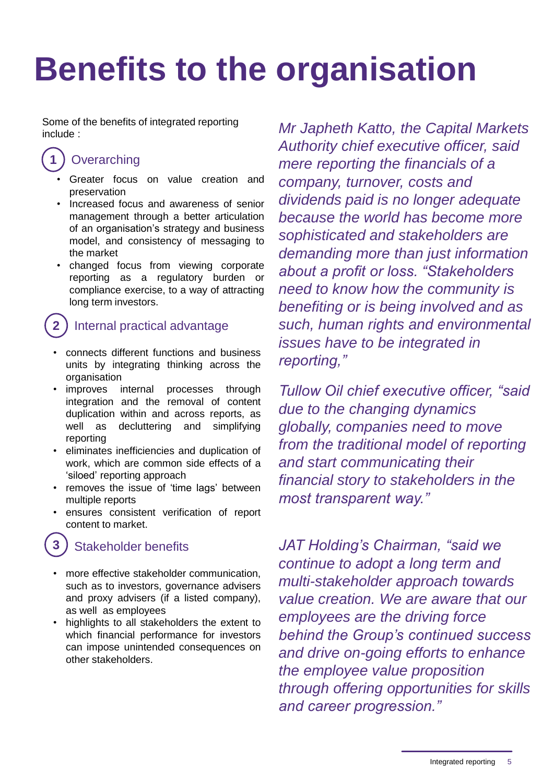# **Benefits to the organisation**

Some of the benefits of integrated reporting

### **1** Overarching

- Greater focus on value creation and preservation
- Increased focus and awareness of senior management through a better articulation of an organisation's strategy and business model, and consistency of messaging to the market
- changed focus from viewing corporate reporting as a regulatory burden or compliance exercise, to a way of attracting long term investors.

### **2** ) Internal practical advantage

- connects different functions and business units by integrating thinking across the organisation
- improves internal processes through integration and the removal of content duplication within and across reports, as well as decluttering and simplifying reporting
- eliminates inefficiencies and duplication of work, which are common side effects of a 'siloed' reporting approach
- removes the issue of 'time lags' between multiple reports
- ensures consistent verification of report content to market.

### **3** Stakeholder benefits

- more effective stakeholder communication, such as to investors, governance advisers and proxy advisers (if a listed company), as well as employees
- highlights to all stakeholders the extent to which financial performance for investors can impose unintended consequences on other stakeholders.

include : *Mr Japheth Katto, the Capital Markets Authority chief executive officer, said mere reporting the financials of a company, turnover, costs and dividends paid is no longer adequate because the world has become more sophisticated and stakeholders are demanding more than just information about a profit or loss. "Stakeholders need to know how the community is benefiting or is being involved and as such, human rights and environmental issues have to be integrated in reporting,"* 

> *Tullow Oil chief executive officer, "said due to the changing dynamics globally, companies need to move from the traditional model of reporting and start communicating their financial story to stakeholders in the most transparent way."*

> *JAT Holding's Chairman, "said we continue to adopt a long term and multi-stakeholder approach towards value creation. We are aware that our employees are the driving force behind the Group's continued success and drive on-going efforts to enhance the employee value proposition through offering opportunities for skills and career progression."*